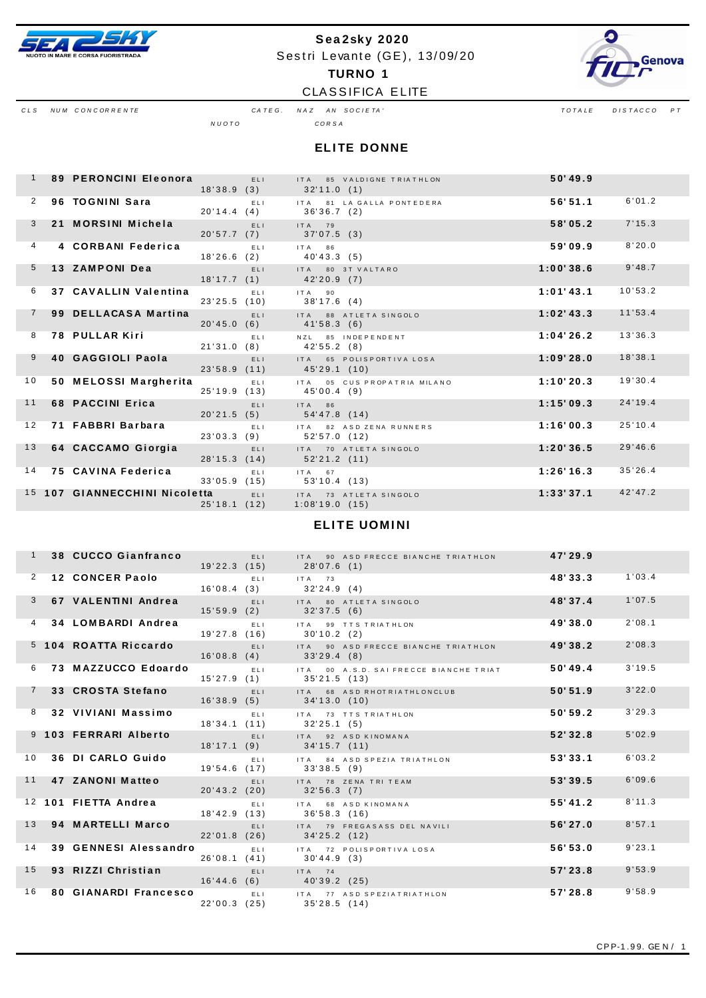

## Sea2sky 2020 Sestri Levante (GE), 13/09/20 **TURNO 1**



CLS NUM CONCORRENTE

CLASSIFICA ELITE

CATEG. NAZ AN SOCIETA'  $N U O T O$ 

 $\begin{tabular}{ccccc} \textit{Total} & \textit{Total} & \textit{Total} \\ \hline \end{tabular}$ 

CORSA

|                | 89 PERONCINI Eleonora         |              | ELI- | ITA 85 VALDIGNE TRIATHLON<br>$18'38.9(3)$ $32'11.0(1)$ | 50'49.9   |         |
|----------------|-------------------------------|--------------|------|--------------------------------------------------------|-----------|---------|
| 2              | 96 TOGNINI Sara               | 20'14.4(4)   | ELL  | ITA 81 LA GALLA PONTEDERA<br>36'36.7 (2)               | 56'51.1   | 6'01.2  |
| $\mathbf{3}$   | 21 MORSINI Michela            |              | ELI. | $ITA$ 79<br>20'57.7 (7) 37'07.5 (3)                    | 58'05.2   | 7'15.3  |
| $\overline{4}$ | 4 CORBANI Federica            | 18'26.6(2)   | ELL. | ITA 86<br>40'43.3 (5)                                  | 59'09.9   | 8'20.0  |
| 5 <sup>5</sup> | 13 ZAMPONI Dea                |              | ELL. | ITA 80 3T VALTARO<br>$18'17.7(1)$ $42'20.9(7)$         | 1:00'38.6 | 9'48.7  |
| 6              | 37 CAVALLIN Valentina         | 23'25.5(10)  | ELI. | $ITA$ 90<br>38'17.6 (4)                                | 1:01'43.1 | 10'53.2 |
|                | 99 DELLACASA Martina          | 20'45.0(6)   | ELI- | ITA 88 ATLETA SINGOLO<br>41'58.3 (6)                   | 1:02'13.3 | 11'53.4 |
| 8              | 78 PULLAR Kiri                |              | ELL. | NZL 85 INDEPENDENT<br>21'31.0 (8) 42'55.2 (8)          | 1:04'26.2 | 13'36.3 |
| 9              | 40 GAGGIOLI Paola             |              | ELL- | ITA 65 POLISPORTIVALOSA<br>23'58.9 (11) 45'29.1 (10)   | 1:09'28.0 | 18'38.1 |
| 10             | 50 MELOSSI Margherita         | 25'19.9 (13) | ELI. | ITA 05 CUS PROPATRIA MILANO<br>45'00.4 (9)             | 1:10'20.3 | 19'30.4 |
| 11             | 68 PACCINI Erica              |              | ELL. | ITA 86<br>20'21.5 (5) 54'47.8 (14)                     | 1:15'09.3 | 24'19.4 |
| 12             | 71 FABBRI Barbara             |              | ELL. | ITA 82 ASD ZENA RUNNERS<br>23'03.3 (9) 52'57.0 (12)    | 1:16'00.3 | 25'10.4 |
| 13             | 64 CACCAMO Giorgia            |              | ELI. | ITA 70 ATLETA SINGOLO<br>28'15.3 (14) 52'21.2 (11)     | 1:20'36.5 | 29'46.6 |
| 14             | 75 CAVINA Federica            | 33'05.9(15)  | ELI. | $ITA$ 67<br>53'10.4 (13)                               | 1:26'16.3 | 35'26.4 |
|                | 15 107 GIANNECCHINI Nicoletta | 25'18.1(12)  | ELI  | ITA 73 ATLETA SINGOLO<br>1:08'19.0(15)                 | 1:33'37.1 | 42'47.2 |

#### **ELITE UOMINI**

|    | 38 CUCCO Gianfranco       |                |                   | ELI ITA 90 ASD FRECCE BIANCHE TRIATHLON<br>19'22.3 (15) 28'07.6 (1)                  | 47'29.9  |        |
|----|---------------------------|----------------|-------------------|--------------------------------------------------------------------------------------|----------|--------|
|    | 2 12 CONCER Paolo         |                | <b>ELI</b> ITA 73 | 16'08.4 (3) 32'24.9 (4)                                                              | 48'33.3  | 1'03.4 |
|    | 3 67 VALENTINI Andrea     |                |                   | ELI ITA 80 ATLETA SINGOLO<br>15'59.9 (2) 32'37.5 (6)                                 | 48'37.4  | 1'07.5 |
|    | 4 34 LOMBARDI Andrea      |                |                   | ELI ITA 99 TTS TRIATHLON<br>19'27.8 (16) 30'10.2 (2)                                 | 49'38.0  | 2'08.1 |
|    | 5 104 ROATTA Riccardo     |                |                   | ELI ITA 90 ASD FRECCE BIANCHE TRIATHLON<br>$16'08.8(4)$ $33'29.4(8)$                 | 49'38.2  | 2'08.3 |
|    | 6 73 MAZZUCCO Edoardo     |                |                   | ELI ITA 00 A.S.D. SAIFRECCE BIANCHE TRIAT<br>15'27.9 (1) 35'21.5 (13)                | 50'49.4  | 3'19.5 |
|    | 7 33 CROSTA Stefano       |                |                   | ELI ITA 68 ASD RHOT RIATHLONCLUB<br>16'38.9 (5) 34'13.0 (10)                         | 50'51.9  | 3'22.0 |
|    | 8 32 VIVIANI Massimo      |                |                   | ELI ITA 73 TTS TRIATHLON<br>18'34.1 (11) 32'25.1 (5)                                 | 50'59.2  | 3'29.3 |
|    | 9 103 FERRARI Alberto     | <b>ELL ELL</b> |                   | ITA 92 ASD KINOMANA<br>18'17.1 (9) 34'15.7 (11)                                      | 52'32.8  | 5'02.9 |
|    | 10 36 DI CARLO Guido      |                |                   | ELI ITA 84 ASD SPEZIA TRIATHLON<br>19'54.6 (17) 33'38.5 (9)                          | 53'33.1  | 6'03.2 |
|    | 11 47 ZANONI Matteo       |                |                   | ELI ITA 78 ZENATRITEAM<br>$20'43.2(20)$ $32'56.3(7)$                                 | 53'39.5  | 6'09.6 |
|    | 12 101 FIETTA Andrea      |                |                   | ELI ITA 68 ASD KINOMANA<br>18'42.9 (13) 36'58.3 (16)                                 | 55' 41.2 | 8'11.3 |
|    | 13 94 MARTELLI Marco      | 22'01.8(26)    |                   | ELI ITA 79 FREGASASS DEL NAVILI<br>34'25.2(12)                                       | 56'27.0  | 8'57.1 |
| 14 |                           |                |                   | 39 GENNESI Alessandro ELI ITA 72 POLISPORTIVA LOSA<br>26'08.1 (41) 30'44.9 (3)       | 56'53.0  | 9'23.1 |
|    | 15 93 RIZZI Christian ELI |                |                   | $ITA$ 74<br>16'44.6 (6) 40'39.2 (25)                                                 | 57'23.8  | 9'53.9 |
|    |                           |                |                   | 16 80 GIANARDI Francesco ELI ITA 77 ASD SPEZIATRIATHLON<br>22'00.3 (25) 35'28.5 (14) | 57'28.8  | 9'58.9 |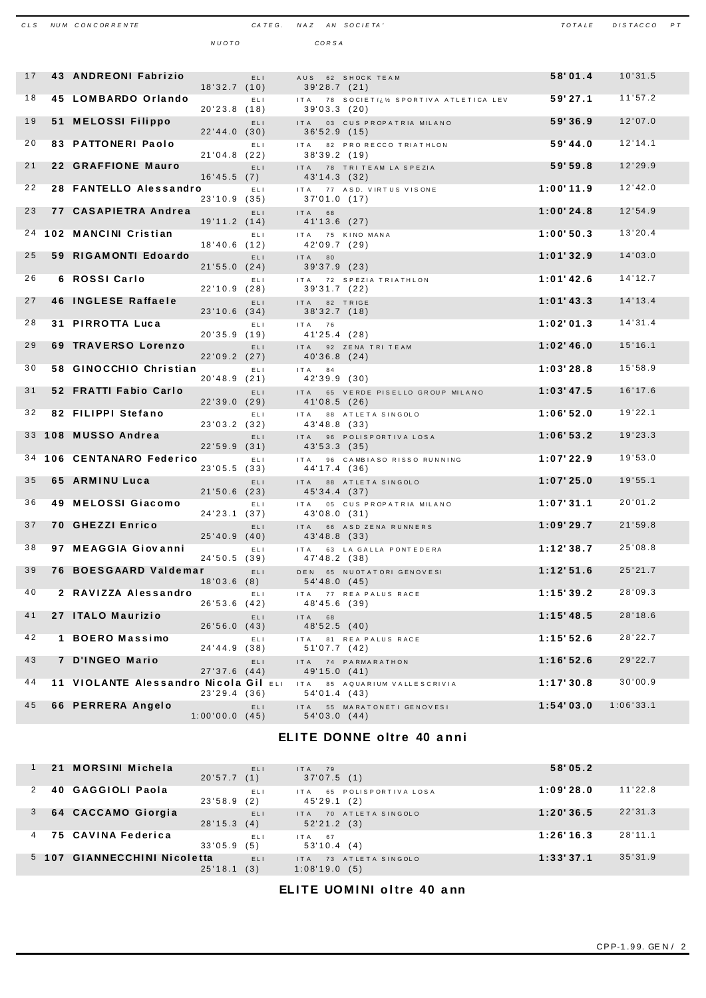| CLS | NUM CONCORRENTE                           |                             | CATEG. NAZ AN SOCIETA' |        |       |                                                       | TOTALE    | DISTACCO PT |  |
|-----|-------------------------------------------|-----------------------------|------------------------|--------|-------|-------------------------------------------------------|-----------|-------------|--|
|     |                                           | NUOTO                       |                        |        | CORSA |                                                       |           |             |  |
|     |                                           |                             |                        |        |       |                                                       |           |             |  |
| 17  | 43 ANDREONI Fabrizio                      | 18'32.7(10)                 | ELI.                   |        |       | AUS 62 SHOCK TEAM<br>39'28.7 (21)                     | 58'01.4   | 10'31.5     |  |
| 18  | 45 LOMBARDO Orlando                       | 20'23.8 (18)                | ELI                    |        |       | ITA 78 SOCIETI¿½ SPORTIVA ATLETICA LEV<br>39'03.3(20) | 59'27.1   | 11'57.2     |  |
| 19  | 51 MELOSSI Filippo                        | 22'44.0(30)                 | ELI.                   |        |       | ITA 03 CUS PROPATRIA MILANO<br>36'52.9(15)            | 59'36.9   | 12'07.0     |  |
| 20  | <b>83 PATTONERI Paolo</b>                 |                             | ELI                    |        |       | ITA 82 PRO RECCO TRIATHLON<br>38'39.2(19)             | 59'44.0   | 12'14.1     |  |
| 21  | 22 GRAFFIONE Mauro                        | 21'04.8(22)                 | ELI.                   |        |       | ITA 78 TRITEAM LA SPEZIA                              | 59'59.8   | 12'29.9     |  |
| 22  | 28 FANTELLO Alessandro                    | 16'45.5(7)<br>23'10.9 (35)  | ELI.                   |        |       | 43'14.3 (32)<br>ITA 77 ASD. VIRTUS VISONE             | 1:00'11.9 | 12'42.0     |  |
| 23  | 77 CASAPIETRA Andrea                      | 19'11.2(14)                 | ELI.                   | ITA 68 |       | 37'01.0(17)                                           | 1:00'24.8 | 12'54.9     |  |
|     | 24 102 MANCINI Cristian                   |                             | ELI.                   |        |       | 41'13.6 (27)<br>ITA 75 KINO MANA                      | 1:00'50.3 | 13'20.4     |  |
| 25  | 59 RIGAMONTI Edoardo                      | 18'40.6(12)                 | ELI.                   | IT A   | 80    | 42'09.7 (29)<br>39'37.9 (23)                          | 1:01'32.9 | 14'03.0     |  |
| 26  | 6 ROSSI Carlo                             | 21'55.0(24)<br>22'10.9 (28) | ELI.                   |        |       | ITA 72 SPEZIA TRIATHLON<br>39'31.7 (22)               | 1:01'42.6 | 14'12.7     |  |
| 27  | <b>46 INGLESE Raffaele</b>                | 23'10.6(34)                 | ELI.                   |        |       | ITA 82 TRIGE<br>38'32.7(18)                           | 1:01'43.3 | 14'13.4     |  |
| 28  | 31 PIRROTTA Luca                          | 20'35.9(19)                 | ELI.                   | ITA 76 |       | 41'25.4 (28)                                          | 1:02'01.3 | 14'31.4     |  |
| 29  | 69 TRAVERSO Lorenzo                       | 22'09.2(27)                 | ELI.                   |        |       | ITA 92 ZENA TRI TEAM<br>40'36.8 (24)                  | 1:02'46.0 | 15'16.1     |  |
| 30  | 58 GINOCCHIO Christian                    | 20'48.9(21)                 | ELI                    | ITA 84 |       | 42'39.9 (30)                                          | 1:03'28.8 | 15'58.9     |  |
| 31  | 52 FRATTI Fabio Carlo                     | 22'39.0(29)                 | ELI.                   |        |       | ITA 65 VERDE PISELLO GROUP MILANO<br>41'08.5(26)      | 1:03'47.5 | 16'17.6     |  |
| 32  | 82 FILIPPI Stefano                        | 23'03.2 (32)                | ELI                    | IT A   |       | 88 ATLETA SINGOLO<br>43'48.8 (33)                     | 1:06'52.0 | 19'22.1     |  |
| 33  | 108 MUSSO Andrea                          | 22'59.9(31)                 | ELI.                   | ITA    |       | 96 POLISPORTIVA LOSA<br>43'53.3 (35)                  | 1:06'53.2 | 19'23.3     |  |
| 34  | 106 CENTANARO Federico                    | 23'05.5(33)                 | ELI                    | ITA    |       | 96 CAMBIASO RISSO RUNNING<br>44'17.4 (36)             | 1:07'22.9 | 19'53.0     |  |
| 35  | 65 ARMINU Luca                            | 21'50.6(23)                 | ELI                    | ITA    |       | 88 ATLETA SINGOLO<br>45'34.4 (37)                     | 1:07'25.0 | 19'55.1     |  |
| 36  | 49 MELOSSI Giacomo                        | 24'23.1 (37)                | ELI.                   |        |       | ITA 05 CUS PROPATRIA MILANO<br>43'08.0 (31)           | 1:07'31.1 | 20'01.2     |  |
| 37  | 70 GHEZZI Enrico                          | 25'40.9(40)                 | ELI                    |        |       | ITA 66 ASD ZENA RUNNERS<br>43'48.8 (33)               | 1:09'29.7 | 21'59.8     |  |
| 38  | 97 MEAGGIA Giovanni                       | 24'50.5 (39)                | ELI                    |        |       | ITA 63 LA GALLA PONTEDERA<br>47'48.2 (38)             | 1:12'38.7 | 25'08.8     |  |
| 39  | 76 BOESGAARD Valdemar                     | 18'03.6(8)                  | ELI.                   |        |       | DEN 65 NUOTATORI GENOVESI<br>54'48.0(45)              | 1:12'51.6 | 25'21.7     |  |
| 40  | 2 RAVIZZA Alessandro                      | 26'53.6(42)                 | ELI.                   |        |       | ITA 77 REA PALUS RACE<br>48'45.6 (39)                 | 1:15'39.2 | 28'09.3     |  |
| 41  | 27 ITALO Maurizio                         | 26'56.0(43)                 | ELI.                   | ITA 68 |       | 48'52.5(40)                                           | 1:15'48.5 | 28'18.6     |  |
| 42  | 1 BOERO Massimo                           | 24'44.9 (38)                | ELI.                   |        |       | ITA 81 REA PALUS RACE<br>51'07.7(42)                  | 1:15'52.6 | 28'22.7     |  |
| 43  | 7 D'INGEO Mario                           | 27'37.6(44)                 | ELI.                   |        |       | ITA 74 PARMARATHON<br>49'15.0 (41)                    | 1:16'52.6 | 29'22.7     |  |
| 44  | 11 VIOLANTE Alessandro Nicola Gil ELI ITA | 23'29.4(36)                 |                        |        |       | 85 AQUARIUM VALLESCRIVIA<br>54'01.4 (43)              | 1:17'30.8 | 30'00.9     |  |
| 45  | 66 PERRERA Angelo                         | 1:00'00.0(45)               | ELI                    |        |       | ITA 55 MARATONETI GENOVESI<br>54'03.0 (44)            | 1:54'03.0 | 1:06'33.1   |  |
|     |                                           |                             |                        |        |       |                                                       |           |             |  |

#### ELITE DONNE oltre 40 anni

| 21    | MORSINI Michela               | 20'57.7 | ELI<br>(1) | $ITA$ 79<br>37'07.5(1)                       | 58'05.2   |         |
|-------|-------------------------------|---------|------------|----------------------------------------------|-----------|---------|
|       | 40 GAGGIOLI Paola             | 23'58.9 | ELI<br>(2) | POLISPORTIVALOSA<br>65<br>IT A<br>45'29.1(2) | 1:09'28.0 | 11'22.8 |
|       | 64 CACCAMO Giorgia            | 28'15.3 | ELI<br>(4) | 70 ATLETA SINGOLO<br>IT A<br>52'21.2(3)      | 1:20'36.5 | 22'31.3 |
|       | 75 CAVINA Federica            | 33'05.9 | ELI<br>(5) | $ITA$ 67<br>53'10.4(4)                       | 1:26'16.3 | 28'11.1 |
| 5 107 | <b>GIANNECCHINI Nicoletta</b> | 25'18.1 | ELI<br>(3) | 73 ATLETA SINGOLO<br>IT A<br>1:08'19.0(5)    | 1:33'37.1 | 35'31.9 |

ELITE UOMINI oltre 40 ann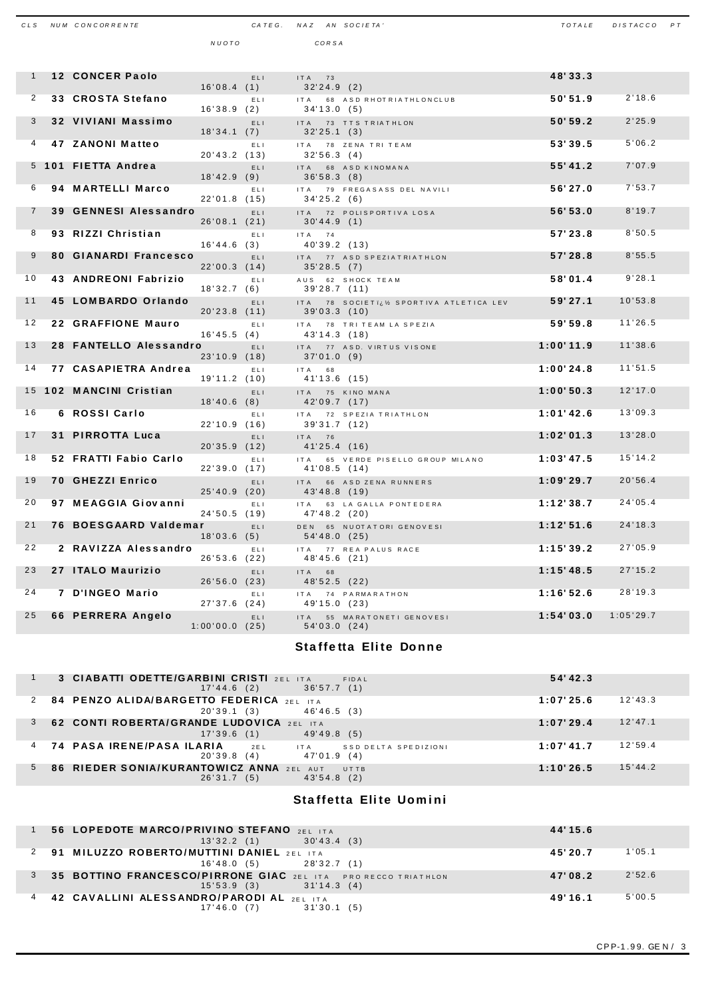| CLS            | NUM CONCORRENTE         |                |     | CATEG. NAZ AN SOCIETA'                                    | TOTALE    | DISTACCO PT |  |
|----------------|-------------------------|----------------|-----|-----------------------------------------------------------|-----------|-------------|--|
|                |                         | NUOTO          |     | CORSA                                                     |           |             |  |
|                |                         |                |     |                                                           |           |             |  |
| $\mathbf{1}$   | <b>12 CONCER Paolo</b>  |                |     |                                                           | 48'33.3   |             |  |
|                |                         | 16'08.4(1)     | ELI | ITA 73<br>32'24.9(2)                                      |           |             |  |
| $\overline{2}$ | 33 CROSTA Stefano       |                | EL1 | IT A<br>68 ASD RHOT RIATHLONCLUB                          | 50'51.9   | 2'18.6      |  |
|                |                         | 16'38.9(2)     |     | 34'13.0(5)                                                |           |             |  |
| 3              | 32 VIVIANI Massimo      |                | ELI | ITA 73 TTS TRIATHLON                                      | 50'59.2   | 2'25.9      |  |
| $\overline{4}$ | 47 ZANONI Matteo        | 18'34.1(7)     | EL1 | 32'25.1(3)<br>ITA 78 ZENA TRI TEAM                        | 53'39.5   | 5'06.2      |  |
|                |                         | 20'43.2 (13)   |     | 32'56.3(4)                                                |           |             |  |
|                | 5 101 FIETTA Andrea     |                | ELI | IT A<br>68 ASD KINOMANA                                   | 55' 41.2  | 7'07.9      |  |
| 6              | 94 MARTELLI Marco       | 18'42.9(9)     |     | 36'58.3(8)                                                | 56'27.0   | 7'53.7      |  |
|                |                         | 22'01.8(15)    | EL1 | ITA 79 FREGASASS DEL NAVILI<br>34'25.2(6)                 |           |             |  |
| $\overline{7}$ | 39 GENNESI Alessandro   |                | ELI | ITA 72 POLISPORTIVA LOSA                                  | 56'53.0   | 8'19.7      |  |
|                |                         | 26'08.1(21)    |     | 30'44.9(1)                                                |           |             |  |
| 8              | 93 RIZZI Christian      |                | ELI | ITA 74                                                    | 57'23.8   | 8'50.5      |  |
| 9              | 80 GIANARDI Francesco   | 16'44.6(3)     | ELI | 40'39.2 (13)<br>77 ASD SPEZIATRIATHLON<br>IT A            | 57'28.8   | 8'55.5      |  |
|                |                         | 22'00.3(14)    |     | $35'28.5$ (7)                                             |           |             |  |
| 10             | 43 ANDREONI Fabrizio    |                | EL1 | AUS 62 SHOCK TEAM                                         | 58'01.4   | 9'28.1      |  |
|                |                         | 18'32.7(6)     |     | 39'28.7(11)                                               |           |             |  |
| 11             | 45 LOMBARDO Orlando     | 20'23.8(11)    | ELI | IT A<br>78 SOCIETI¿½ SPORTIVA ATLETICA LEV<br>39'03.3(10) | 59'27.1   | 10'53.8     |  |
| 12             | 22 GRAFFIONE Mauro      |                | ELI | ITA 78 TRITEAM LA SPEZIA                                  | 59'59.8   | 11'26.5     |  |
|                |                         | 16'45.5(4)     |     | 43'14.3 (18)                                              |           |             |  |
| 13             | 28 FANTELLO Alessandro  |                | ELI | 77 ASD. VIRTUS VISONE<br>IT A                             | 1:00'11.9 | 11'38.6     |  |
| 14             | 77 CASAPIETRA Andrea    | 23'10.9(18)    |     | 37'01.0(9)                                                | 1:00'24.8 | 11'51.5     |  |
|                |                         | 19'11.2(10)    | EL1 | ITA 68<br>41'13.6(15)                                     |           |             |  |
|                | 15 102 MANCINI Cristian |                | ELI | IT A<br>75 KINO MANA                                      | 1:00'50.3 | 12'17.0     |  |
|                |                         | 18'40.6(8)     |     | 42'09.7 (17)                                              |           |             |  |
| 16             | 6 ROSSI Carlo           | 22'10.9(16)    | EL1 | 72 SPEZIA TRIATHLON<br>IT A<br>39'31.7 (12)               | 1:01'42.6 | 13'09.3     |  |
| 17             | 31 PIRROTTA Luca        |                | ELI | ITA 76                                                    | 1:02'01.3 | 13'28.0     |  |
|                |                         | 20'35.9(12)    |     | 41'25.4 (16)                                              |           |             |  |
| 18             | 52 FRATTI Fabio Carlo   |                | EL1 | IT A<br>65 VERDE PISELLO GROUP MILANO                     | 1:03'47.5 | 15'14.2     |  |
| 19             | <b>70 GHEZZI Enrico</b> | 22'39.0(17)    |     | 41'08.5(14)                                               | 1:09'29.7 | 20'56.4     |  |
|                |                         | 25'40.9(20)    | EL1 | IT A<br>66 ASD ZENA RUNNERS<br>43'48.8 (19)               |           |             |  |
| 20             | 97 MEAGGIA Giovanni     |                | ELI | 63 LA GALLA PONTEDERA<br>IT A                             | 1:12'38.7 | 24'05.4     |  |
|                |                         | 24'50.5(19)    |     | 47'48.2 (20)                                              |           |             |  |
| 21             | 76 BOESGAARD Valdemar   | 18'03.6(5)     | EL1 | DEN 65 NUOTATORI GENOVESI<br>54'48.0 (25)                 | 1:12'51.6 | 24'18.3     |  |
| 22             | 2 RAVIZZA Alessandro    |                | EL1 | ITA<br>77 REA PALUS RACE                                  | 1:15'39.2 | 27'05.9     |  |
|                |                         | 26'53.6 (22)   |     | 48'45.6 (21)                                              |           |             |  |
| 23             | 27 ITALO Maurizio       |                | ELI | IT A<br>68                                                | 1:15'48.5 | 27'15.2     |  |
| 24             | 7 D'INGEO Mario         | 26'56.0 (23)   |     | 48'52.5 (22)                                              | 1:16'52.6 | 28'19.3     |  |
|                |                         | $27'37.6$ (24) | EL1 | ITA 74 PARMARATHON<br>49'15.0 (23)                        |           |             |  |
| 25             | 66 PERRERA Angelo       |                | ELI | ITA 55 MARATONETI GENOVESI                                | 1:54'03.0 | 1:05'29.7   |  |
|                |                         | 1:00'00.0(25)  |     | 54'03.0(24)                                               |           |             |  |

#### **Staffetta Elite Donne**

| 3 CIABATTI ODETTE/GARBINI CRISTI 2EL ITA<br>FIDAL<br>17'44.6(2)<br>36'57.7(1)                             | 54'42.3                 |
|-----------------------------------------------------------------------------------------------------------|-------------------------|
| 84 PENZO ALIDA/BARGETTO FEDERICA 2EL ITA<br>20'39.1(3)<br>46'46.5 (3)                                     | 12'43.3<br>1:07'25.6    |
| 62 CONTI ROBERTA/GRANDE LUDOVICA 2EL ITA<br>49'49.8(5)<br>17'39.6(1)                                      | 12' 47.1<br>1:07'29.4   |
| <b>74 PASA IRENE/PASA ILARIA</b><br>2 E L<br>ITA<br>SSD DELTA SPEDIZIONI<br>20'39.8<br>(4)<br>47'01.9 (4) | 12'59.4<br>$1:07'$ 41.7 |
| 86 RIEDER SONIA/KURANTOWICZ ANNA 2EL<br>AUT<br>UTTB<br>26'31.7<br>(5)<br>43'54.8(2)                       | 15'44.2<br>1:10'26.5    |

### Staffetta Elite Uomini

| 56 LOPEDOTE MARCO/PRIVINO STEFANO 2EL ITA<br>30'43.4(3)<br>13'32.2(1)                       | 44'15.6           |
|---------------------------------------------------------------------------------------------|-------------------|
| 2 91 MILUZZO ROBERTO/MUTTINI DANIEL 2EL ITA<br>28'32.7 (1)<br>16'48.0(5)                    | 1'05.1<br>45'20.7 |
| 3 35 BOTTINO FRANCESCO/PIRRONE GIAC 2EL ITA PRO RECCO TRIATHLON<br>15'53.9(3)<br>31'14.3(4) | 2'52.6<br>47'08.2 |
| 4 42 CAVALLINI ALESSANDRO/PARODI AL 2EL ITA<br>17'46.0(7)<br>31'30.1 (5)                    | 49'16.1<br>5'00.5 |

I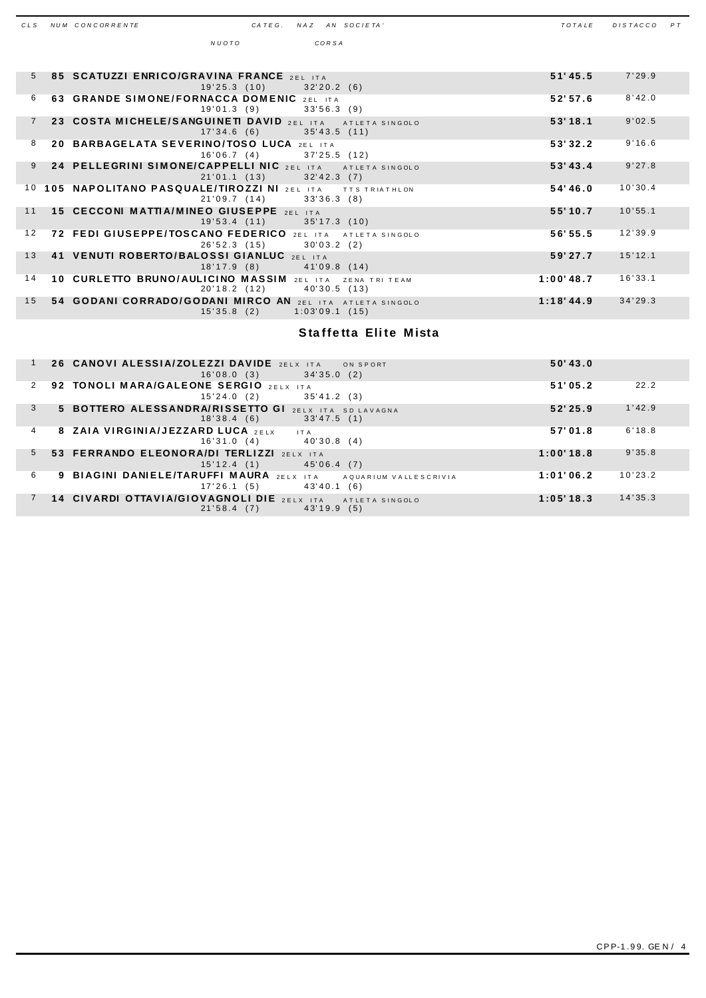| CLS | NUM CONCORRENTE                                                        | CATEG. |            |       | NAZ AN SOCIETA'              | TOTALE    | DISTACCO | P T |
|-----|------------------------------------------------------------------------|--------|------------|-------|------------------------------|-----------|----------|-----|
|     | NUOTO                                                                  |        |            | CORSA |                              |           |          |     |
|     |                                                                        |        |            |       |                              |           |          |     |
| 5   | 85 SCATUZZI ENRICO/GRAVINA FRANCE 2EL ITA                              |        |            |       |                              | 51' 45.5  | 7'29.9   |     |
|     | 19'25.3(10)                                                            |        | 32'20.2(6) |       |                              |           |          |     |
| 6   | 63 GRANDE SIMONE/FORNACCA DOMENIC 2EL ITA<br>19'01.3(9)                |        | 33'56.3(9) |       |                              | 52'57.6   | 8'42.0   |     |
|     | 23 COSTA MICHELE/SANGUINETI DAVID 2EL ITA                              |        |            |       | ATLETA SINGOLO               | 53'18.1   | 9'02.5   |     |
|     | 17'34.6(6)                                                             |        |            |       | $35'43.5$ (11)               |           |          |     |
| 8   | 20 BARBAGELATA SEVERINO/TOSO LUCA 2EL ITA                              |        |            |       |                              | 53'32.2   | 9'16.6   |     |
| 9   | 16'06.7(4)<br>24 PELLEGRINI SIMONE/CAPPELLI NIC 2EL ITA                |        |            |       | 37'25.5(12)                  | 53' 43.4  | 9'27.8   |     |
|     | 21'01.1(13)                                                            |        | 32'42.3(7) |       | ATLETA SINGOLO               |           |          |     |
| 10  | 105 NAPOLITANO PASQUALE/TIROZZI NI 2EL ITA                             |        |            |       | <b>TTS TRIATHLON</b>         | 54'46.0   | 10'30.4  |     |
|     | 21'09.7(14)                                                            |        | 33'36.3(8) |       |                              |           |          |     |
| 11  | 15 CECCONI MATTIA/MINEO GIUSEPPE 2EL ITA<br>19'53.4(11)                |        |            |       | $35'17.3$ (10)               | 55'10.7   | 10'55.1  |     |
| 12  | 72 FEDI GIUSEPPE/TOSCANO FEDERICO 2EL ITA                              |        |            |       | ATLETA SINGOLO               | 56'55.5   | 12'39.9  |     |
|     |                                                                        |        |            |       |                              |           |          |     |
|     | 18'17.9(8)                                                             |        |            |       | 41'09.8(14)                  |           |          |     |
| 14  | 10 CURLETTO BRUNO/AULICINO MASSIM<br>20'18.2(12)                       |        | 2 FL ITA   |       | ZENA TRI TEAM<br>40'30.5(13) | 1:00'48.7 | 16'33.1  |     |
| 15  | 54 GODANI CORRADO/GODANI MIRCO AN 2EL ITA ATLETA SINGOLO<br>15'35.8(2) |        |            |       | $1:03'09.1$ (15)             | 1:18'44.9 | 34'29.3  |     |
| 13  | 26'52.3(15)<br>41 VENUTI ROBERTO/BALOSSI GIANLUC 2EL ITA               |        | 30'03.2(2) |       |                              | 59'27.7   | 15'12.1  |     |

#### **Staffetta Eli te M ista**

|   | 26 CANOVI ALESSIA/ZOLEZZI DAVIDE 2ELX ITA<br>ON SPORT<br>16'08.0(3)<br>34'35.0(2)              | 50' 43.0             |  |
|---|------------------------------------------------------------------------------------------------|----------------------|--|
| 2 | 92 TONOLI MARA/GALEONE SERGIO 2ELX ITA<br>15'24.0(2)<br>35'41.2(3)                             | 22.2<br>51'05.2      |  |
| 3 | 5 BOTTERO ALESSANDRA/RISSETTO GI 2ELX ITA SD LAVAGNA<br>18'38.4(6)<br>33'47.5(1)               | 1'42.9<br>52'25.9    |  |
| 4 | 8 ZAIA VIRGINIA/JEZZARD LUCA 2ELX<br>IT A<br>16'31.0(4)<br>40'30.8 (4)                         | 6'18.8<br>57'01.8    |  |
| 5 | 53 FERRANDO ELEONORA/DI TERLIZZI 2ELX ITA<br>15'12.4(1)<br>45'06.4(7)                          | 9'35.8<br>1:00'18.8  |  |
| 6 | 9 BIAGINI DANIELE/TARUFFI MAURA 2ELX ITA<br>AQUARIUM VALLESCRIVIA<br>43'40.1 (6)<br>17'26.1(5) | 10'23.2<br>1:01'06.2 |  |
|   | 14 CIVARDI OTTAVIA/GIOVAGNOLI DIE 2ELX ITA<br>ATLETA SINGOLO<br>(5)<br>21'58.4(7)<br>43'19.9   | 14'35.3<br>1:05'18.3 |  |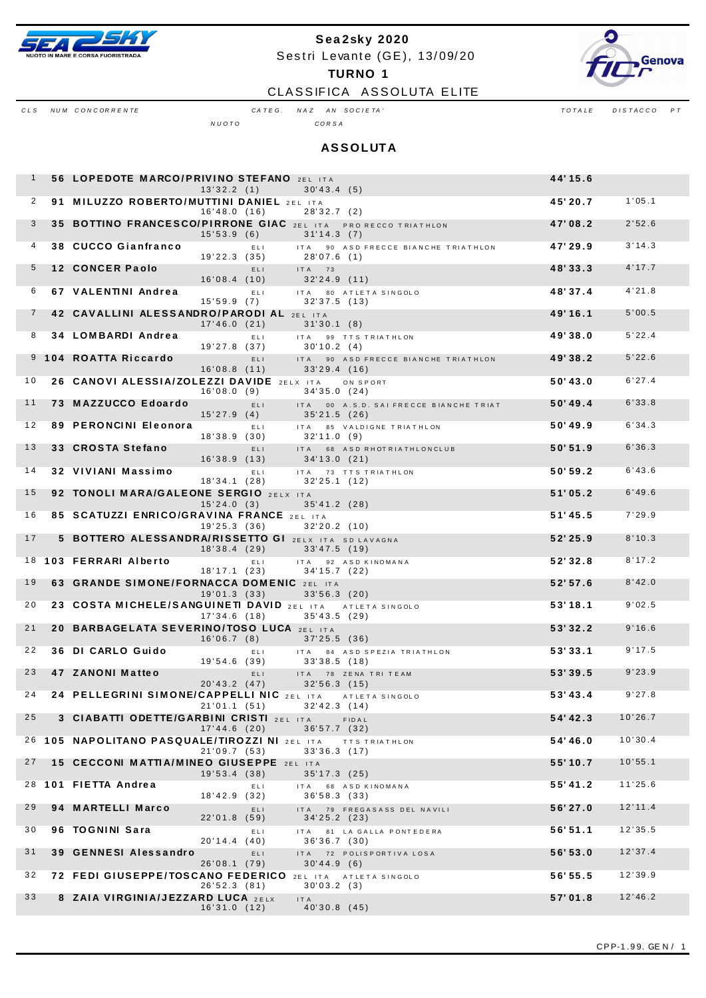

# Sea2sky 2020 Sestri Levante (GE), 13/09/20 **TURNO 1**



CLASSIFICA ASSOLUTA ELITE

CLS NUM CONCORRENTE

CATEG. NAZ AN SOCIETA'

 $T$  O  $T$  A  $LE$  $DISTACCO$   $PT$ 

 $N U O T O$ 

CORSA

| <b>ASSOLUTA</b> |  |  |  |  |  |  |  |
|-----------------|--|--|--|--|--|--|--|
|-----------------|--|--|--|--|--|--|--|

| $\mathbf{1}$   | 56 LOPEDOTE MARCO/PRIVINO STEFANO 2EL ITA                | 13'32.2(1)   |      | 30'43.4(5)                                                                 | 44'15.6 |         |
|----------------|----------------------------------------------------------|--------------|------|----------------------------------------------------------------------------|---------|---------|
| 2              | 91 MILUZZO ROBERTO/MUTTINI DANIEL 2EL ITA                | 16'48.0(16)  |      | 28'32.7(2)                                                                 | 45'20.7 | 1'05.1  |
| 3              |                                                          | 15'53.9(6)   |      | 35 BOTTINO FRANCESCO/PIRRONE GIAC 2EL ITA PRORECCO TRIATHLON<br>31'14.3(7) | 47'08.2 | 2'52.6  |
| 4              | 38 CUCCO Gianfranco                                      | 19'22.3(35)  | ELI  | ITA<br>90 ASD FRECCE BIANCHE TRIATHLON<br>28'07.6 (1)                      | 47'29.9 | 3'14.3  |
| 5              | <b>12 CONCER Paolo</b>                                   | 16'08.4(10)  | ELI. | $ITA$ 73<br>32'24.9(11)                                                    | 48'33.3 | 4'17.7  |
| 6              | 67 VALENTINI Andrea                                      | 15'59.9(7)   | ELI. | ITA 80 ATLETA SINGOLO<br>32'37.5(13)                                       | 48'37.4 | 4'21.8  |
| $\overline{7}$ | 42 CAVALLINI ALESSANDRO/PARODI AL 2EL ITA                | 17'46.0(21)  |      | 31'30.1(8)                                                                 | 49'16.1 | 5'00.5  |
| 8              | 34 LOMBARDI Andrea                                       | 19'27.8 (37) | ELI. | ITA 99 TTS TRIATHLON<br>30'10.2(4)                                         | 49'38.0 | 5'22.4  |
| 9              | 104 ROATTA Riccardo                                      | 16'08.8(11)  | ELI. | ITA 90 ASD FRECCE BIANCHE TRIATHLON<br>33'29.4(16)                         | 49'38.2 | 5'22.6  |
| 10             | 26 CANOVI ALESSIA/ZOLEZZI DAVIDE 2ELX ITA                | 16'08.0(9)   |      | ON SPORT<br>34'35.0(24)                                                    | 50'43.0 | 6'27.4  |
| 11             | 73 MAZZUCCO Edoardo                                      | 15'27.9(4)   | ELI- | ITA 00 A.S.D. SAI FRECCE BIANCHE TRIAT<br>35'21.5 (26)                     | 50'49.4 | 6'33.8  |
| 12             | 89 PERONCINI Eleonora                                    | 18'38.9(30)  | ELI. | ITA 85 VALDIGNE TRIATHLON<br>32'11.0 (9)                                   | 50'49.9 | 6'34.3  |
| 13             | 33 CROSTA Stefano                                        | 16'38.9(13)  | ELI. | ITA 68 ASD RHOT RIATHLONCLUB<br>34'13.0 (21)                               | 50'51.9 | 6'36.3  |
| 14             | 32 VIVIANI Massimo                                       | 18'34.1(28)  | ELI. | ITA 73 TTS TRIATHLON<br>32'25.1(12)                                        | 50'59.2 | 6'43.6  |
| 15             | 92 TONOLI MARA/GALEONE SERGIO 2ELX ITA                   | 15'24.0(3)   |      | 35'41.2 (28)                                                               | 51'05.2 | 6'49.6  |
| 16             | 85 SCATUZZI ENRICO/GRAVINA FRANCE 2EL ITA                | 19'25.3 (36) |      | 32'20.2(10)                                                                | 51'45.5 | 7'29.9  |
| 17             | 5 BOTTERO ALESSANDRA/RISSETTO GI 2ELX ITA SD LAVAGNA     | 18'38.4(29)  |      | 33'47.5(19)                                                                | 52'25.9 | 8'10.3  |
|                | 18 103 FERRARI Alberto                                   | 18'17.1(23)  | ELI. | ITA 92 ASD KINOMANA<br>34'15.7 (22)                                        | 52'32.8 | 8'17.2  |
| 19             | 63 GRANDE SIMONE/FORNACCA DOMENIC 2EL ITA                | 19'01.3(33)  |      | $33'56.3$ (20)                                                             | 52'57.6 | 8'42.0  |
| 20             | 23 COSTA MICHELE/SANGUINETI DAVID 2EL ITA ATLETA SINGOLO | 17'34.6(18)  |      | 35'43.5(29)                                                                | 53'18.1 | 9'02.5  |
| 21             | 20 BARBAGELATA SEVERINO/TOSO LUCA 2EL ITA                | 16'06.7(8)   |      | $37'25.5$ (36)                                                             | 53'32.2 | 9'16.6  |
| 22             | 36 DI CARLO Guido                                        | 19'54.6 (39) | ELI. | ITA 84 ASD SPEZIA TRIATHLON<br>33'38.5(18)                                 | 53'33.1 | 9'17.5  |
| 23             | 47 ZANONI Matteo                                         | 20'43.2(47)  | ELI. | ITA 78 ZENATRITEAM<br>32'56.3 (15)                                         | 53'39.5 | 9'23.9  |
| 24             | 24 PELLEGRINI SIMONE/CAPPELLI NIC 2EL ITA ATLETA SINGOLO |              |      | 21'01.1 (51) 32'42.3 (14)                                                  | 53'43.4 | 9'27.8  |
| 25             | 3 CIABATTI ODETTE/GARBINI CRISTI 2EL ITA                 | 17'44.6(20)  |      | FIDAL<br>36'57.7 (32)                                                      | 54'42.3 | 10'26.7 |
|                | 26 105 NAPOLITANO PASQUALE/TIROZZI NI 2EL ITA            | 21'09.7(53)  |      | <b>TTS TRIATHLON</b><br>33'36.3(17)                                        | 54'46.0 | 10'30.4 |
| 27             | 15 CECCONI MATTIA/MINEO GIUSEPPE 2EL ITA                 | 19'53.4(38)  |      | 35'17.3(25)                                                                | 55'10.7 | 10'55.1 |
|                | 28 101 FIETTA Andrea                                     | 18'42.9(32)  | ELI. | 68 ASD KINOMANA<br>ITA<br>36'58.3 (33)                                     | 55'41.2 | 11'25.6 |
| 29             | 94 MARTELLI Marco                                        | 22'01.8(59)  | ELI. | ITA 79 FREGASASS DEL NAVILI<br>34'25.2(23)                                 | 56'27.0 | 12'11.4 |
| 30             | 96 TOGNINI Sara                                          | 20'14.4(40)  | ELI  | ITA 81 LA GALLA PONTEDERA<br>36'36.7(30)                                   | 56'51.1 | 12'35.5 |
| 31             | <b>39 GENNESI Alessandro</b>                             | 26'08.1(79)  | ELI  | ITA 72 POLISPORTIVA LOSA<br>30'44.9(6)                                     | 56'53.0 | 12'37.4 |
| 32             | 72 FEDI GIUSEPPE/TOSCANO FEDERICO 2EL ITA ATLETA SINGOLO | 26'52.3(81)  |      | 30'03.2(3)                                                                 | 56'55.5 | 12'39.9 |
| 33             | 8 ZAIA VIRGINIA/JEZZARD LUCA 2ELX                        | 16'31.0(12)  |      | IT A<br>40'30.8(45)                                                        | 57'01.8 | 12'46.2 |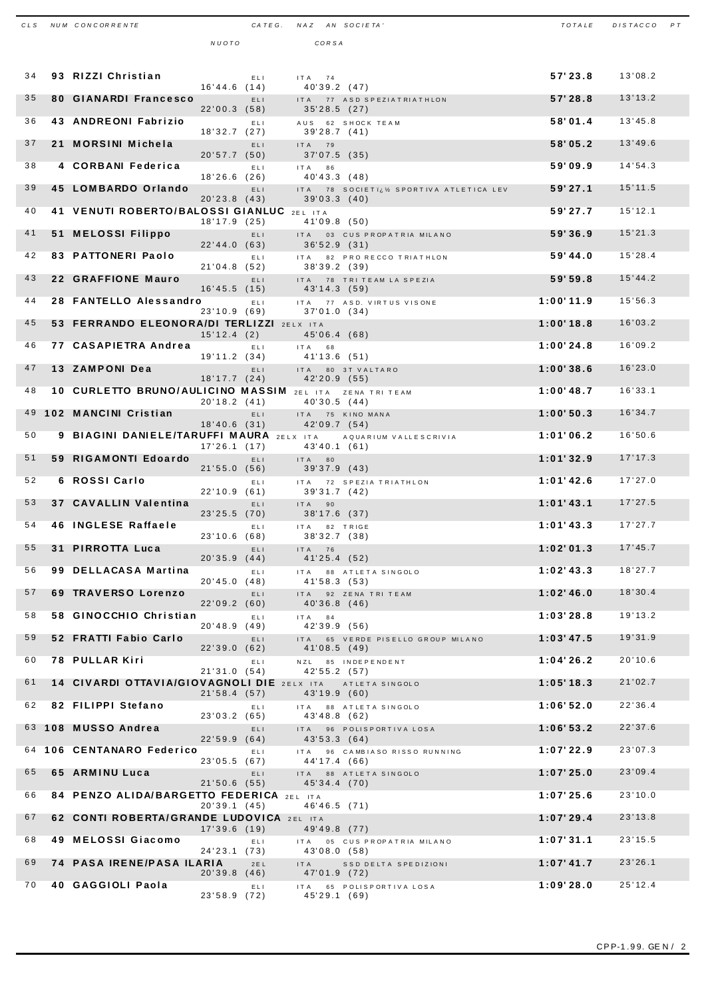| CLS | NUM CONCORRENTE                                                |              |      | CATEG. NAZ AN SOCIETA'          |                                        | TOTALE       | DISTACCO PT |  |
|-----|----------------------------------------------------------------|--------------|------|---------------------------------|----------------------------------------|--------------|-------------|--|
|     |                                                                | NUOTO        |      | CORSA                           |                                        |              |             |  |
|     |                                                                |              |      |                                 |                                        |              |             |  |
| 34  | 93 RIZZI Christian                                             |              | ELI  | $ITA$ 74                        |                                        | 57'23.8      | 13'08.2     |  |
| 35  | <b>80 GIANARDI Francesco</b>                                   | 16'44.6(14)  | ELI. | 40'39.2 (47)                    | ITA 77 ASD SPEZIATRIATHLON             | 57'28.8      | 13'13.2     |  |
| 36  | 43 ANDREONI Fabrizio                                           | 22'00.3(58)  |      | 35'28.5(27)                     |                                        | 58'01.4      | 13'45.8     |  |
|     |                                                                | 18'32.7(27)  | ELI. | 39'28.7 (41)                    | AUS 62 SHOCK TEAM                      |              |             |  |
| 37  | 21 MORSINI Michela                                             | 20'57.7(50)  | ELI. | ITA 79<br>$37'07.5$ (35)        |                                        | 58'05.2      | 13'49.6     |  |
| 38  | 4 CORBANI Federica                                             |              | ELI. | IT A 86                         |                                        | 59'09.9      | 14'54.3     |  |
| 39  | 45 LOMBARDO Orlando                                            | 18'26.6(26)  | ELI. | 40'43.3 (48)                    | ITA 78 SOCIETI¿½ SPORTIVA ATLETICA LEV | 59'27.1      | 15'11.5     |  |
| 40  |                                                                | 20'23.8(43)  |      | 39'03.3(40)                     |                                        |              | 15'12.1     |  |
|     | 41 VENUTI ROBERTO/BALOSSI GIANLUC 2EL ITA                      | 18'17.9(25)  |      | 41'09.8(50)                     |                                        | 59'27.7      |             |  |
| 41  | 51 MELOSSI Filippo                                             | 22'44.0(63)  | ELI. | 36'52.9 (31)                    | ITA 03 CUS PROPATRIA MILANO            | 59'36.9      | 15'21.3     |  |
| 42  | 83 PATTONERI Paolo                                             |              | ELI. |                                 | ITA 82 PRO RECCO TRIATHLON             | 59'44.0      | 15'28.4     |  |
| 43  | 22 GRAFFIONE Mauro                                             | 21'04.8(52)  | ELI. | 38'39.2 (39)                    | ITA 78 TRITEAM LA SPEZIA               | 59'59.8      | 15'44.2     |  |
| 44  | 28 FANTELLO Alessandro                                         | 16'45.5(15)  |      | 43'14.3 (59)                    |                                        |              | 15'56.3     |  |
|     |                                                                | 23'10.9(69)  | ELI. | 37'01.0(34)                     | ITA 77 ASD. VIRTUS VISONE              | 1:00'11.9    |             |  |
| 45  | 53 FERRANDO ELEONORA/DI TERLIZZI 2ELX ITA                      | 15'12.4(2)   |      | 45'06.4 (68)                    |                                        | 1:00'18.8    | 16'03.2     |  |
| 46  | 77 CASAPIETRA Andrea                                           |              | ELL  | IT A 68                         |                                        | 1:00'24.8    | 16'09.2     |  |
| 47  | 13 ZAMPONI Dea                                                 | 19'11.2(34)  | ELI. | 41'13.6 (51)                    | ITA 80 3T VALTARO                      | 1:00'38.6    | 16'23.0     |  |
| 48  | 10 CURLETTO BRUNO/AULICINO MASSIM 2EL ITA ZENA TRI TEAM        | 18'17.7(24)  |      | 42'20.9 (55)                    |                                        | $1:00'$ 48.7 | 16'33.1     |  |
|     |                                                                | 20'18.2(41)  |      | 40'30.5 (44)                    |                                        |              |             |  |
| 49  | 102 MANCINI Cristian                                           | 18'40.6(31)  | ELI. | ITA 75 KINO MANA<br>42'09.7(54) |                                        | 1:00'50.3    | 16'34.7     |  |
| 50  | 9 BIAGINI DANIELE/TARUFFI MAURA 2ELX ITA AQUARIUM VALLESCRIVIA |              |      |                                 |                                        | 1:01'06.2    | 16'50.6     |  |
| 51  | 59 RIGAMONTI Edoardo                                           | 17'26.1(17)  | ELI. | 43'40.1 (61)<br>$ITA$ 80        |                                        | 1:01'32.9    | 17'17.3     |  |
| 52  | 6 ROSSI Carlo                                                  | 21'55.0(56)  |      | 39'37.9 (43)                    |                                        | 1:01'42.6    | 17'27.0     |  |
|     |                                                                | 22'10.9(61)  | EL I | 39'31.7 (42)                    | ITA 72 SPEZIA TRIATHLON                |              |             |  |
| 53  | 37 CAVALLIN Valentina                                          | 23'25.5(70)  | ELI. | ITA 90<br>38'17.6 (37)          |                                        | 1:01'43.1    | 17'27.5     |  |
| 54  | <b>46 INGLESE Raffaele</b>                                     |              | ELI. | IT A                            | 82 TRIGE                               | 1:01'43.3    | 17'27.7     |  |
|     | 55 31 PIRROTTA Luca                                            | 23'10.6(68)  | ELI  | 38'32.7 (38)<br>$ITA$ 76        |                                        | 1:02'01.3    | 17'45.7     |  |
| 56  | 99 DELLACASA Martina                                           | 20'35.9(44)  | ELI. | 41'25.4 (52)                    | ITA 88 ATLETA SINGOLO                  | 1:02'43.3    | 18'27.7     |  |
|     |                                                                | 20'45.0(48)  |      | 41'58.3 (53)                    |                                        |              |             |  |
| 57  | 69 TRAVERSO Lorenzo                                            | 22'09.2(60)  | ELI. | 40'36.8(46)                     | ITA 92 ZENA TRI TEAM                   | 1:02'46.0    | 18'30.4     |  |
| 58  | 58 GINOCCHIO Christian                                         | 20'48.9(49)  | ELI. | ITA 84<br>42'39.9 (56)          |                                        | 1:03'28.8    | 19'13.2     |  |
| 59  | 52 FRATTI Fabio Carlo                                          |              | ELI. | ITA                             | 65 VERDE PISELLO GROUP MILANO          | 1:03'47.5    | 19'31.9     |  |
| 60  | 78 PULLAR Kiri                                                 | 22'39.0(62)  | ELI  | 41'08.5 (49)                    | NZL 85 INDEPENDENT                     | 1:04'26.2    | 20'10.6     |  |
|     |                                                                | 21'31.0(54)  |      | 42'55.2 (57)                    |                                        |              |             |  |
| 61  | 14 CIVARDI OTTAVIA/GIOVAGNOLI DIE 2ELX ITA ATLETA SINGOLO      | 21'58.4(57)  |      | 43'19.9 (60)                    |                                        | 1:05'18.3    | 21'02.7     |  |
| 62  | 82 FILIPPI Stefano                                             | 23'03.2(65)  | ELI. | 43'48.8 (62)                    | ITA 88 ATLETA SINGOLO                  | 1:06'52.0    | 22'36.4     |  |
|     | 63 108 MUSSO Andrea                                            |              | ELI. |                                 | ITA 96 POLISPORTIVA LOSA               | 1:06'53.2    | 22'37.6     |  |
| 64  | 106 CENTANARO Federico                                         | 22'59.9(64)  | ELI. | 43'53.3 (64)                    | ITA 96 CAMBIASO RISSO RUNNING          | 1:07'22.9    | 23'07.3     |  |
|     |                                                                | 23'05.5(67)  |      | 44'17.4 (66)                    |                                        |              |             |  |
| 65  | 65 ARMINU Luca                                                 | 21'50.6(55)  | ELI. | 45'34.4 (70)                    | ITA 88 ATLETA SINGOLO                  | 1:07'25.0    | 23'09.4     |  |
| 66  | 84 PENZO ALIDA/BARGETTO FEDERICA 2EL ITA                       | 20'39.1(45)  |      | 46'46.5 (71)                    |                                        | 1:07'25.6    | 23'10.0     |  |
| 67  | 62 CONTI ROBERTA/GRANDE LUDOVICA 2EL ITA                       |              |      |                                 |                                        | 1:07'29.4    | 23'13.8     |  |
| 68  | 49 MELOSSI Giacomo                                             | 17'39.6(19)  | ELI  | 49'49.8 (77)                    | ITA 05 CUS PROPATRIA MILANO            | 1:07'31.1    | 23'15.5     |  |
|     |                                                                | 24'23.1 (73) |      | 43'08.0 (58)                    |                                        |              |             |  |
| 69  | <b>74 PASA IRENE/PASA ILARIA</b>                               | 20'39.8(46)  | 2E L | IT A<br>47'01.9 (72)            | SSD DELTA SPEDIZIONI                   | $1:07'$ 41.7 | 23'26.1     |  |
| 70  | 40 GAGGIOLI Paola                                              | 23'58.9 (72) | ELI  | 45'29.1 (69)                    | ITA 65 POLISPORTIVALOSA                | 1:09'28.0    | 25'12.4     |  |